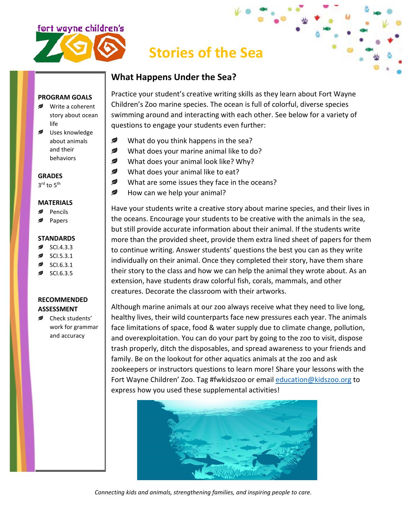

# **Stories of the Sea**

### **What Happens Under the Sea?**

#### **PROGRAM GOALS**

- **■** Write a coherent story about ocean life
- Uses knowledge about animals and their behaviors

**GRADES**

3rd to 5<sup>th</sup>

#### **MATERIALS**

- Pencils
- Papers

#### **STANDARDS**

- SCI.4.3.3
- SCI.5.3.1
- SCI.6.3.1
- SCI.6.3.5

### **RECOMMENDED ASSESSMENT**

Check students' work for grammar and accuracy

Practice your student's creative writing skills as they learn about Fort Wayne Children's Zoo marine species. The ocean is full of colorful, diverse species swimming around and interacting with each other. See below for a variety of questions to engage your students even further:

- Ø What do you think happens in the sea?
- Ø What does your marine animal like to do?
- ✍ What does your animal look like? Why?
- ✍ What does your animal like to eat?
- Ø What are some issues they face in the oceans?
- Ø How can we help your animal?

Have your students write a creative story about marine species, and their lives in the oceans. Encourage your students to be creative with the animals in the sea, but still provide accurate information about their animal. If the students write more than the provided sheet, provide them extra lined sheet of papers for them to continue writing. Answer students' questions the best you can as they write individually on their animal. Once they completed their story, have them share their story to the class and how we can help the animal they wrote about. As an extension, have students draw colorful fish, corals, mammals, and other creatures. Decorate the classroom with their artworks.

Although marine animals at our zoo always receive what they need to live long, healthy lives, their wild counterparts face new pressures each year. The animals face limitations of space, food & water supply due to climate change, pollution, and overexploitation. You can do your part by going to the zoo to visit, dispose trash properly, ditch the disposables, and spread awareness to your friends and family. Be on the lookout for other aquatics animals at the zoo and ask zookeepers or instructors questions to learn more! Share your lessons with the Fort Wayne Children' Zoo. Tag #fwkidszoo or email [education@kidszoo.org](mailto:education@kidszoo.org) to express how you used these supplemental activities!



*Connecting kids and animals, strengthening families, and inspiring people to care.*